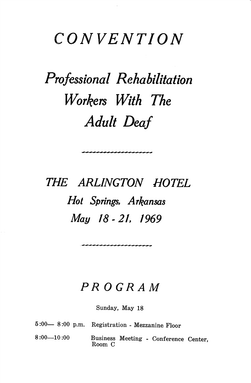## CONVENTION

## Professional Rehabilitation Workers With The Adult Deaf

THE ARLINGTON HOTEL Hot Springs, Arkansas May 18 - 21, 1969

## PROGRAM

Sunday, May 18

|               | 5:00 - 8:00 p.m. Registration - Mezzanine Floor |
|---------------|-------------------------------------------------|
| $8:00$ —10:00 | Business Meeting - Conference Center,<br>Room C |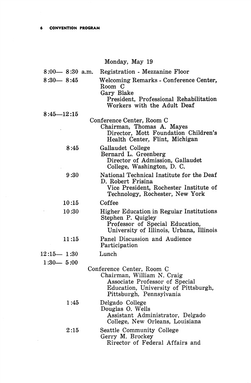$\bar{\alpha}$ 

## Monday, May 19

| $8:00 - 8:30$ a.m. | Registration - Mezzanine Floor                                                                                                                                |
|--------------------|---------------------------------------------------------------------------------------------------------------------------------------------------------------|
| $8:30 - 8:45$      | Welcoming Remarks - Conference Center,<br>Room C<br>Gary Blake<br>President, Professional Rehabilitation<br>Workers with the Adult Deaf                       |
| $8:45 - 12:15$     |                                                                                                                                                               |
|                    | Conference Center, Room C<br>Chairman, Thomas A. Mayes<br>Director, Mott Foundation Children's<br>Health Center, Flint, Michigan                              |
| 8:45               | Gallaudet College<br>Bernard L. Greenberg<br>Director of Admission, Gallaudet<br>College, Washington, D. C.                                                   |
| 9:30               | National Technical Institute for the Deaf<br>D. Robert Frisina<br>Vice President, Rochester Institute of<br>Technology, Rochester, New York                   |
| 10:15              | Coffee                                                                                                                                                        |
| 10:30              | <b>Higher Education in Regular Institutions</b><br>Stephen P. Quigley<br>Professor of Special Education,<br>University of Illinois, Urbana, Illinois          |
| 11:15              | Panel Discussion and Audience<br>Participation                                                                                                                |
| $12:15 - 1:30$     | Lunch                                                                                                                                                         |
| $1:30 - 5:00$      |                                                                                                                                                               |
|                    | Conference Center, Room C<br>Chairman, William N. Craig<br>Associate Professor of Special<br>Education, University of Pittsburgh,<br>Pittsburgh, Pennsylvania |
| 1:45               | Delgado College<br>Douglas O. Wells<br>Assistant Administrator, Delgado<br>College, New Orleans, Louisiana                                                    |
| 2:15               | Seattle Community College<br>Gerry M. Brockey<br>Rirector of Federal Affairs and                                                                              |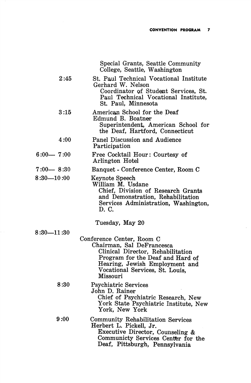$\hat{\boldsymbol{\beta}}$ 

|                | Special Grants, Seattle Community<br>College, Seattle, Washington                                                                                                                                                |
|----------------|------------------------------------------------------------------------------------------------------------------------------------------------------------------------------------------------------------------|
| 2:45           | St. Paul Technical Vocational Institute<br>Gerhard W. Nelson<br>Coordinator of Student Services, St.<br>Paul Technical Vocational Institute,<br>St. Paul, Minnesota                                              |
| 3:15           | American School for the Deaf<br>Edmund B. Boatner<br>Superintendent, American School for<br>the Deaf, Hartford, Connecticut                                                                                      |
| 4:00           | Panel Discussion and Audience<br>Participation                                                                                                                                                                   |
| $6:00 - 7:00$  | Free Cocktail Hour: Courtesy of<br>Arlington Hotel                                                                                                                                                               |
| $7:00 - 8:30$  | Banquet - Conference Center, Room C                                                                                                                                                                              |
| $8:30 - 10:00$ | Keynote Speech<br>William M. Usdane<br>Chief, Division of Research Grants<br>and Demonstration, Rehabilitation<br>Services Administration, Washington,<br>D. C.                                                  |
|                | Tuesday, May 20                                                                                                                                                                                                  |
| $8:30 - 11:30$ |                                                                                                                                                                                                                  |
|                | Conference Center, Room C<br>Chairman, Sal DeFrancesca<br>Clinical Director, Rehabilitation<br>Program for the Deaf and Hard of<br>Hearing, Jewish Employment and<br>Vocational Services, St. Louis,<br>Missouri |
| 8:30           | <b>Psychiatric Services</b><br>John D. Rainer<br>Chief of Psychiatric Research, New<br>York State Psychiatric Institute, New<br>York, New York                                                                   |
| 9:00           | Community Rehabilitation Services<br>Herbert L. Pickell, Jr.<br>Executive Director, Counseling &<br>Communicty Services Center for the<br>Deaf, Pittsburgh, Pennsylvania                                         |